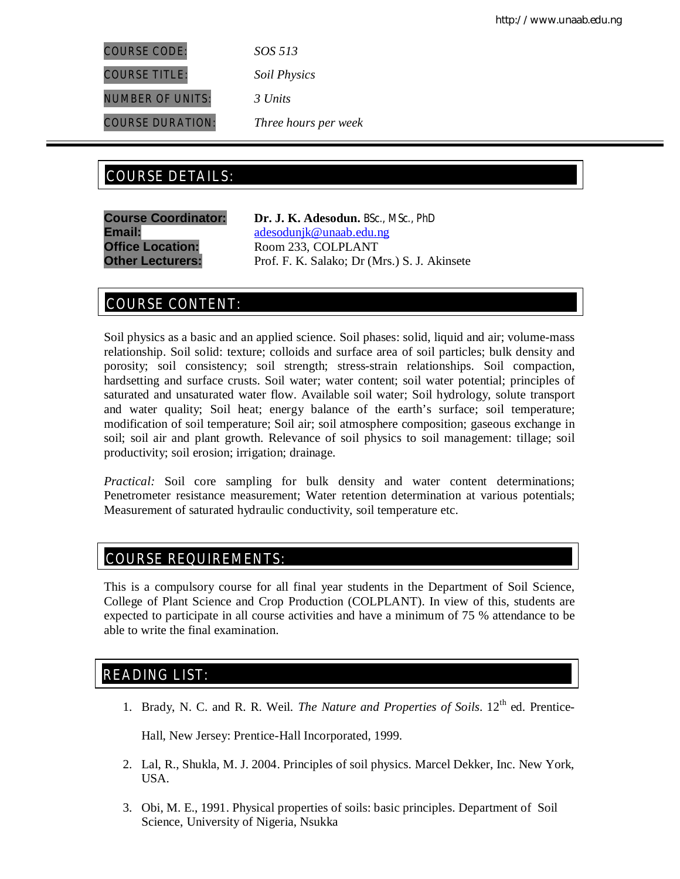COURSE CODE: *SOS 513* COURSE TITLE: *Soil Physics* NUMBER OF UNITS: *3 Units* COURSE DURATION: *Three hours per week*

# COURSE DETAILS: COURSE DETAILS:

**Course Coordinator: Dr. J. K. Adesodun.** *BSc., MSc., PhD* **Email:** adesodunjk@unaab.edu.ng **Office Location:** Room 233, COLPLANT<br> **Other Lecturers:** Prof. F. K. Salako: Dr (M Prof. F. K. Salako; Dr (Mrs.) S. J. Akinsete

# COURSE CONTENT:

Soil physics as a basic and an applied science. Soil phases: solid, liquid and air; volume-mass relationship. Soil solid: texture; colloids and surface area of soil particles; bulk density and porosity; soil consistency; soil strength; stress-strain relationships. Soil compaction, hardsetting and surface crusts. Soil water; water content; soil water potential; principles of saturated and unsaturated water flow. Available soil water; Soil hydrology, solute transport and water quality; Soil heat; energy balance of the earth's surface; soil temperature; modification of soil temperature; Soil air; soil atmosphere composition; gaseous exchange in soil; soil air and plant growth. Relevance of soil physics to soil management: tillage; soil productivity; soil erosion; irrigation; drainage.

*Practical:* Soil core sampling for bulk density and water content determinations; Penetrometer resistance measurement; Water retention determination at various potentials; Measurement of saturated hydraulic conductivity, soil temperature etc.

# COURSE REQUIREMENTS:

This is a compulsory course for all final year students in the Department of Soil Science, College of Plant Science and Crop Production (COLPLANT). In view of this, students are expected to participate in all course activities and have a minimum of 75 % attendance to be able to write the final examination.

# READING LIST:

1. Brady, N. C. and R. R. Weil. *The Nature and Properties of Soils*. 12<sup>th</sup> ed. Prentice-

Hall, New Jersey: Prentice-Hall Incorporated, 1999.

- 2. Lal, R., Shukla, M. J. 2004. Principles of soil physics. Marcel Dekker, Inc. New York, USA.
- 3. Obi, M. E., 1991. Physical properties of soils: basic principles. Department of Soil Science, University of Nigeria, Nsukka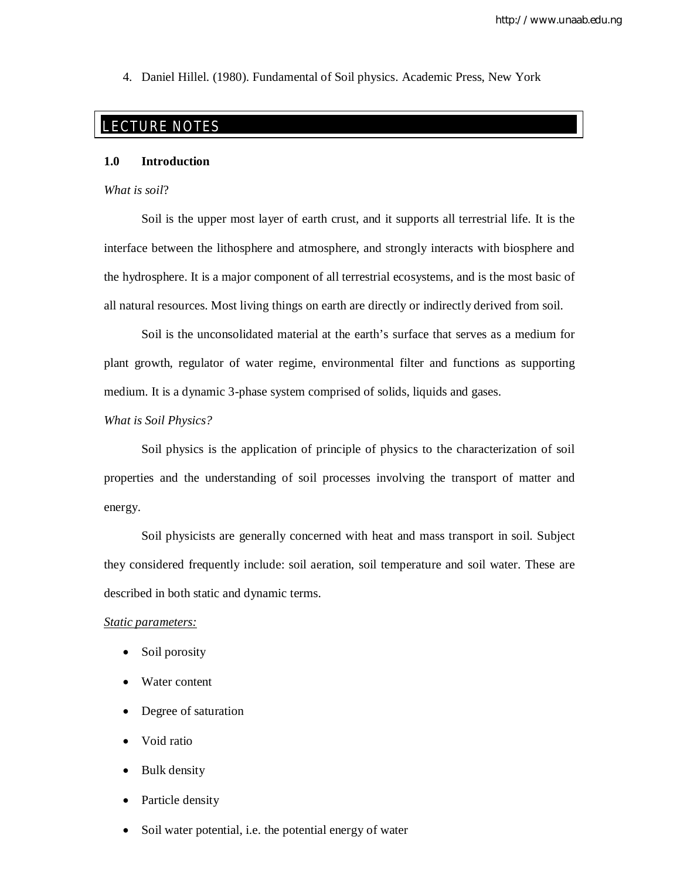4. Daniel Hillel. (1980). Fundamental of Soil physics. Academic Press, New York

# LECTURE NOTES

### **1.0 Introduction**

## *What is soil*?

E

Soil is the upper most layer of earth crust, and it supports all terrestrial life. It is the interface between the lithosphere and atmosphere, and strongly interacts with biosphere and the hydrosphere. It is a major component of all terrestrial ecosystems, and is the most basic of all natural resources. Most living things on earth are directly or indirectly derived from soil.

Soil is the unconsolidated material at the earth's surface that serves as a medium for plant growth, regulator of water regime, environmental filter and functions as supporting medium. It is a dynamic 3-phase system comprised of solids, liquids and gases.

*What is Soil Physics?*

Soil physics is the application of principle of physics to the characterization of soil properties and the understanding of soil processes involving the transport of matter and energy.

Soil physicists are generally concerned with heat and mass transport in soil. Subject they considered frequently include: soil aeration, soil temperature and soil water. These are described in both static and dynamic terms.

## *Static parameters:*

- Soil porosity
- Water content
- Degree of saturation
- Void ratio
- Bulk density
- Particle density
- Soil water potential, i.e. the potential energy of water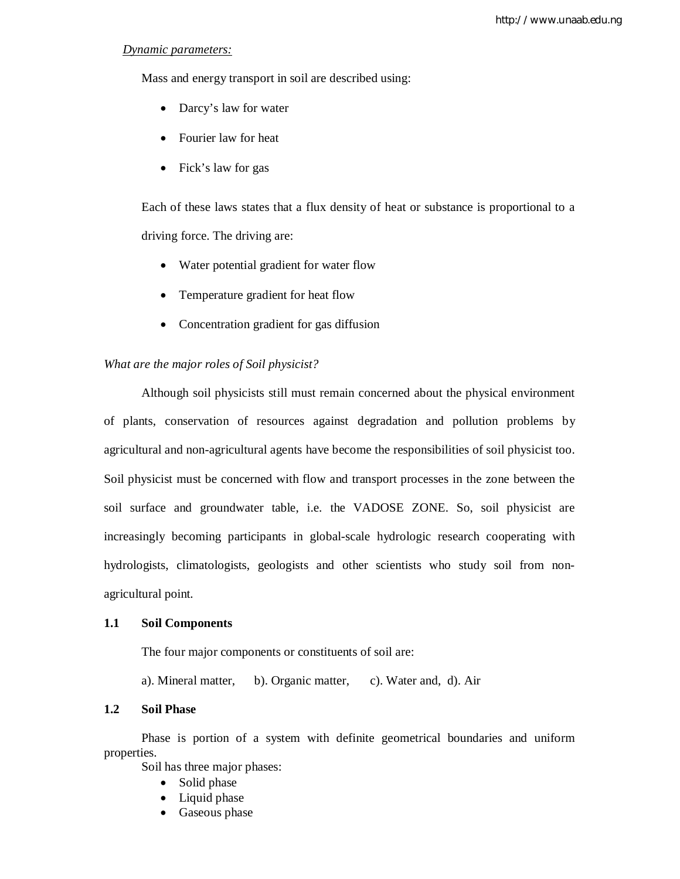#### *Dynamic parameters:*

Mass and energy transport in soil are described using:

- Darcy's law for water
- Fourier law for heat
- Fick's law for gas

Each of these laws states that a flux density of heat or substance is proportional to a driving force. The driving are:

- Water potential gradient for water flow
- Temperature gradient for heat flow
- Concentration gradient for gas diffusion

## *What are the major roles of Soil physicist?*

Although soil physicists still must remain concerned about the physical environment of plants, conservation of resources against degradation and pollution problems by agricultural and non-agricultural agents have become the responsibilities of soil physicist too. Soil physicist must be concerned with flow and transport processes in the zone between the soil surface and groundwater table, i.e. the VADOSE ZONE. So, soil physicist are increasingly becoming participants in global-scale hydrologic research cooperating with hydrologists, climatologists, geologists and other scientists who study soil from nonagricultural point.

## **1.1 Soil Components**

The four major components or constituents of soil are:

a). Mineral matter, b). Organic matter, c). Water and, d). Air

## **1.2 Soil Phase**

Phase is portion of a system with definite geometrical boundaries and uniform properties.

Soil has three major phases:

- Solid phase
- Liquid phase
- Gaseous phase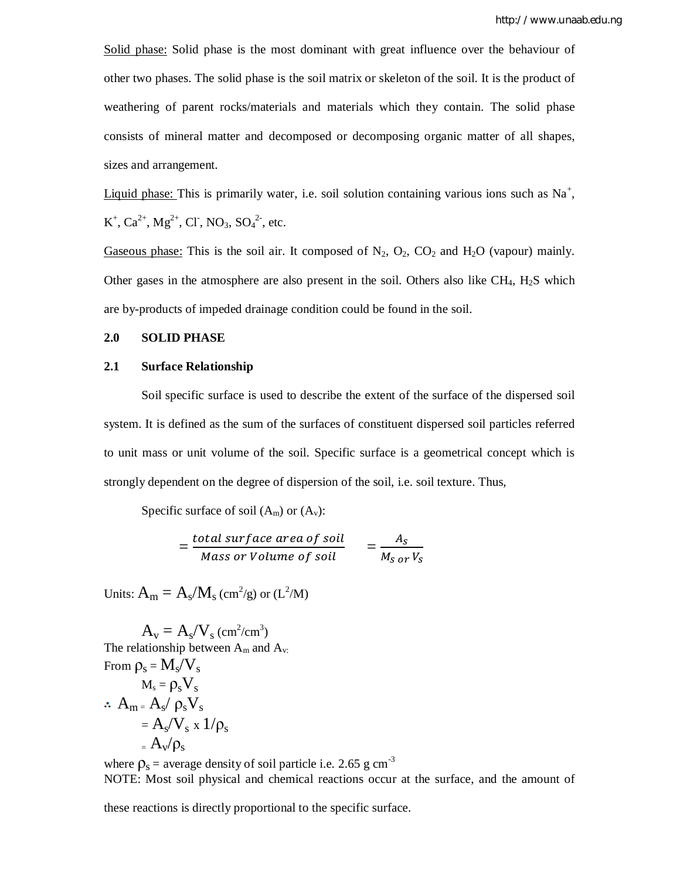Solid phase: Solid phase is the most dominant with great influence over the behaviour of other two phases. The solid phase is the soil matrix or skeleton of the soil. It is the product of weathering of parent rocks/materials and materials which they contain. The solid phase consists of mineral matter and decomposed or decomposing organic matter of all shapes, sizes and arrangement.

Liquid phase: This is primarily water, i.e. soil solution containing various ions such as  $Na<sup>+</sup>$ ,  $K^+$ ,  $Ca^{2+}$ ,  $Mg^{2+}$ , Cl<sup>-</sup>, NO<sub>3</sub>, SO<sub>4</sub><sup>2-</sup>, etc.

Gaseous phase: This is the soil air. It composed of  $N_2$ ,  $O_2$ ,  $CO_2$  and  $H_2O$  (vapour) mainly. Other gases in the atmosphere are also present in the soil. Others also like  $CH_4$ ,  $H_2S$  which are by-products of impeded drainage condition could be found in the soil.

## **2.0 SOLID PHASE**

# **2.1 Surface Relationship**

Soil specific surface is used to describe the extent of the surface of the dispersed soil system. It is defined as the sum of the surfaces of constituent dispersed soil particles referred to unit mass or unit volume of the soil. Specific surface is a geometrical concept which is strongly dependent on the degree of dispersion of the soil, i.e. soil texture. Thus,

Specific surface of soil  $(A_m)$  or  $(A_v)$ :

$$
= \frac{total\ surface\ area\ of\ soil}{Mass\ or\ Volume\ of\ soil} \qquad = \frac{A_S}{M_{S\ or}\ V_S}
$$

Units:  $A_m = A_s/M_s$  (cm<sup>2</sup>/g) or (L<sup>2</sup>/M)

 $A_v = A_s/V_s$  (cm<sup>2</sup>/cm<sup>3</sup>) The relationship between  $A_m$  and  $A_v$ . From  $\rho_{\rm s} = M_{\rm s}/V_{\rm s}$  $M_s = \rho_s V_s$  $A_m = A_s / \rho_s V_s$  $=A_s/V_s x 1/\rho_s$  $= A_v/\rho_s$ 

where  $\rho_s$  = average density of soil particle i.e. 2.65 g cm<sup>-3</sup> NOTE: Most soil physical and chemical reactions occur at the surface, and the amount of

these reactions is directly proportional to the specific surface.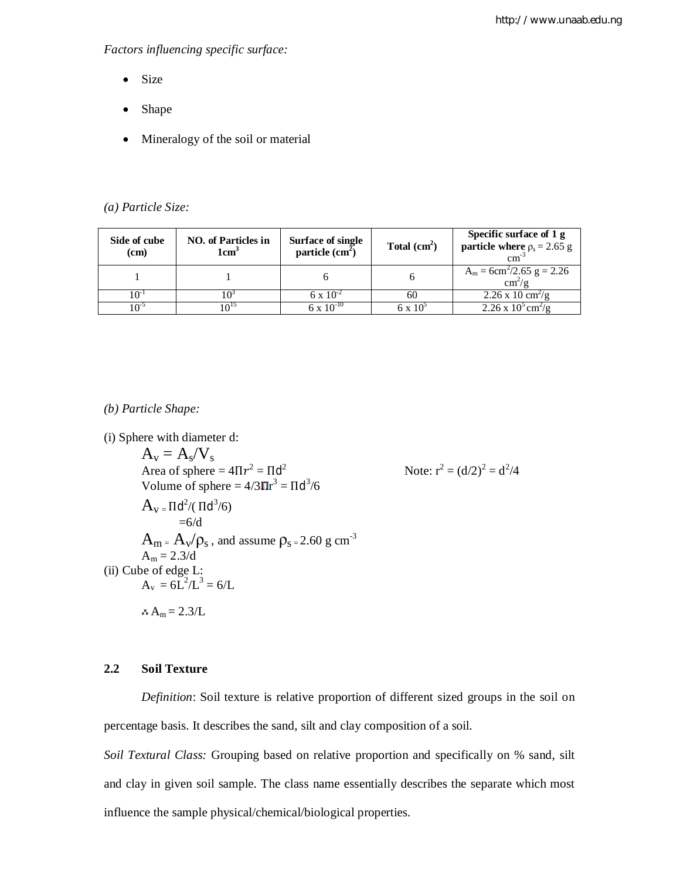*Factors influencing specific surface:*

- Size
- Shape
- Mineralogy of the soil or material

## *(a) Particle Size:*

| Side of cube<br>(cm) | <b>NO.</b> of Particles in<br>$1 \text{cm}^3$ | Surface of single<br>particle $(cm2)$ | Total $(cm2)$      | Specific surface of 1 g<br><b>particle where</b> $\rho_s = 2.65$ g |
|----------------------|-----------------------------------------------|---------------------------------------|--------------------|--------------------------------------------------------------------|
|                      |                                               |                                       |                    | $A_m = 6cm^2/2.65 g = 2.26$<br>$\text{cm}^2/\text{g}$              |
| $10^{-1}$            |                                               | 6 x $10^{-2}$                         |                    | 2.26 x 10 cm <sup>2</sup> /g                                       |
| 10 <sup>-5</sup>     | ۱U۱:                                          | 6 x $10^{-10}$                        | $-6 \times 10^{5}$ | $2.26 \times 10^{5} \text{ cm}^{2}/\text{g}$                       |

*(b) Particle Shape:*

(i) Sphere with diameter d:  $A_v = A_s/V_s$ Area of sphere =  $4\Pi r^2 = \Pi d$ Volume of sphere =  $4/3\pi r^3 = \Pi d^3/6$  $A_v = \Pi d^2 / (\Pi d^3 / 6)$  $=6/d$  $\rm A_{m}$  =  $\rm A_{v}/\rm \rho_{s}$  , and assume  $\rm \rho_{s}$  = 2.60 g cm<sup>-3</sup>  $A_m = 2.3/d$ (ii) Cube of edge L:  $A_v = 6L^2/L^3 = 6/L$  $A_m = 2.3/L$ 

2 Note:  $r^2 = (d/2)^2 = d^2/4$ 

### **2.2 Soil Texture**

*Definition*: Soil texture is relative proportion of different sized groups in the soil on percentage basis. It describes the sand, silt and clay composition of a soil.

*Soil Textural Class:* Grouping based on relative proportion and specifically on % sand, silt and clay in given soil sample. The class name essentially describes the separate which most influence the sample physical/chemical/biological properties.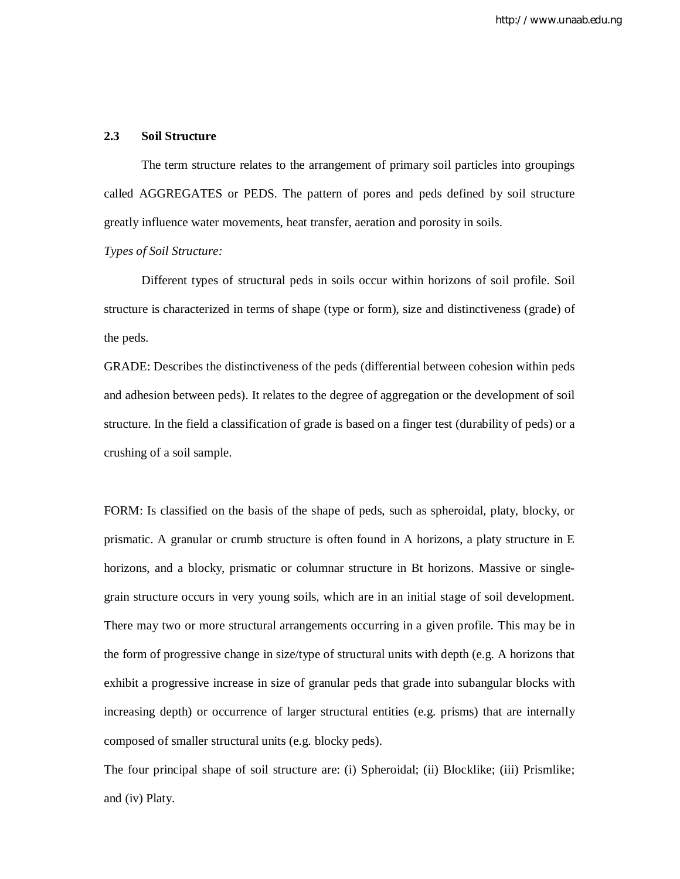## **2.3 Soil Structure**

The term structure relates to the arrangement of primary soil particles into groupings called AGGREGATES or PEDS. The pattern of pores and peds defined by soil structure greatly influence water movements, heat transfer, aeration and porosity in soils.

## *Types of Soil Structure:*

Different types of structural peds in soils occur within horizons of soil profile. Soil structure is characterized in terms of shape (type or form), size and distinctiveness (grade) of the peds.

GRADE: Describes the distinctiveness of the peds (differential between cohesion within peds and adhesion between peds). It relates to the degree of aggregation or the development of soil structure. In the field a classification of grade is based on a finger test (durability of peds) or a crushing of a soil sample.

FORM: Is classified on the basis of the shape of peds, such as spheroidal, platy, blocky, or prismatic. A granular or crumb structure is often found in A horizons, a platy structure in E horizons, and a blocky, prismatic or columnar structure in Bt horizons. Massive or singlegrain structure occurs in very young soils, which are in an initial stage of soil development. There may two or more structural arrangements occurring in a given profile. This may be in the form of progressive change in size/type of structural units with depth (e.g. A horizons that exhibit a progressive increase in size of granular peds that grade into subangular blocks with increasing depth) or occurrence of larger structural entities (e.g. prisms) that are internally composed of smaller structural units (e.g. blocky peds).

The four principal shape of soil structure are: (i) Spheroidal; (ii) Blocklike; (iii) Prismlike; and (iv) Platy.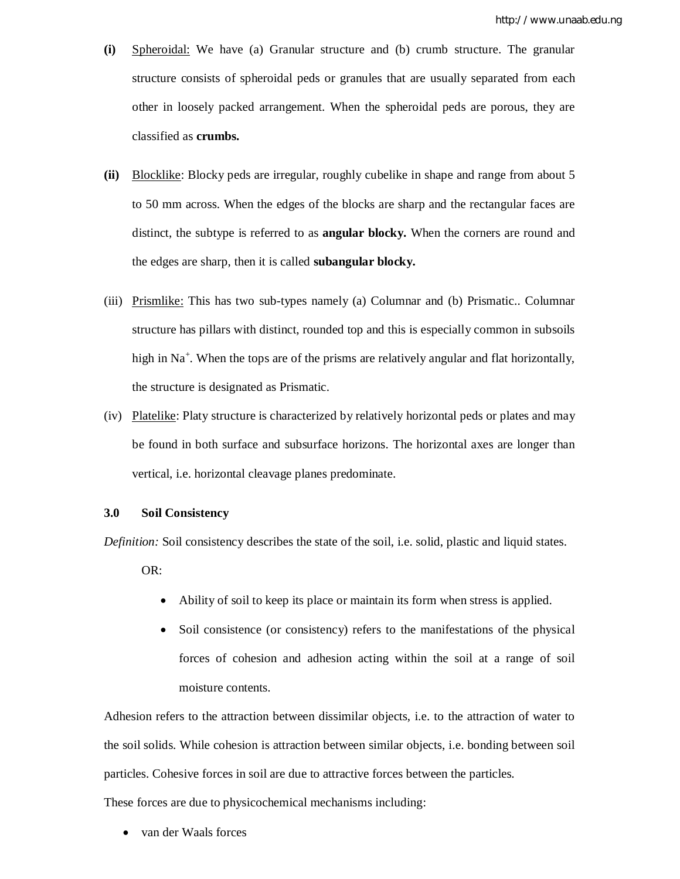- **(i)** Spheroidal: We have (a) Granular structure and (b) crumb structure. The granular structure consists of spheroidal peds or granules that are usually separated from each other in loosely packed arrangement. When the spheroidal peds are porous, they are classified as **crumbs.**
- **(ii)** Blocklike: Blocky peds are irregular, roughly cubelike in shape and range from about 5 to 50 mm across. When the edges of the blocks are sharp and the rectangular faces are distinct, the subtype is referred to as **angular blocky.** When the corners are round and the edges are sharp, then it is called **subangular blocky.**
- (iii) Prismlike: This has two sub-types namely (a) Columnar and (b) Prismatic.. Columnar structure has pillars with distinct, rounded top and this is especially common in subsoils high in  $Na<sup>+</sup>$ . When the tops are of the prisms are relatively angular and flat horizontally, the structure is designated as Prismatic.
- (iv) Platelike: Platy structure is characterized by relatively horizontal peds or plates and may be found in both surface and subsurface horizons. The horizontal axes are longer than vertical, i.e. horizontal cleavage planes predominate.

## **3.0 Soil Consistency**

*Definition:* Soil consistency describes the state of the soil, i.e. solid, plastic and liquid states.

OR:

- Ability of soil to keep its place or maintain its form when stress is applied.
- Soil consistence (or consistency) refers to the manifestations of the physical forces of cohesion and adhesion acting within the soil at a range of soil moisture contents.

Adhesion refers to the attraction between dissimilar objects, i.e. to the attraction of water to the soil solids. While cohesion is attraction between similar objects, i.e. bonding between soil particles. Cohesive forces in soil are due to attractive forces between the particles.

These forces are due to physicochemical mechanisms including:

• van der Waals forces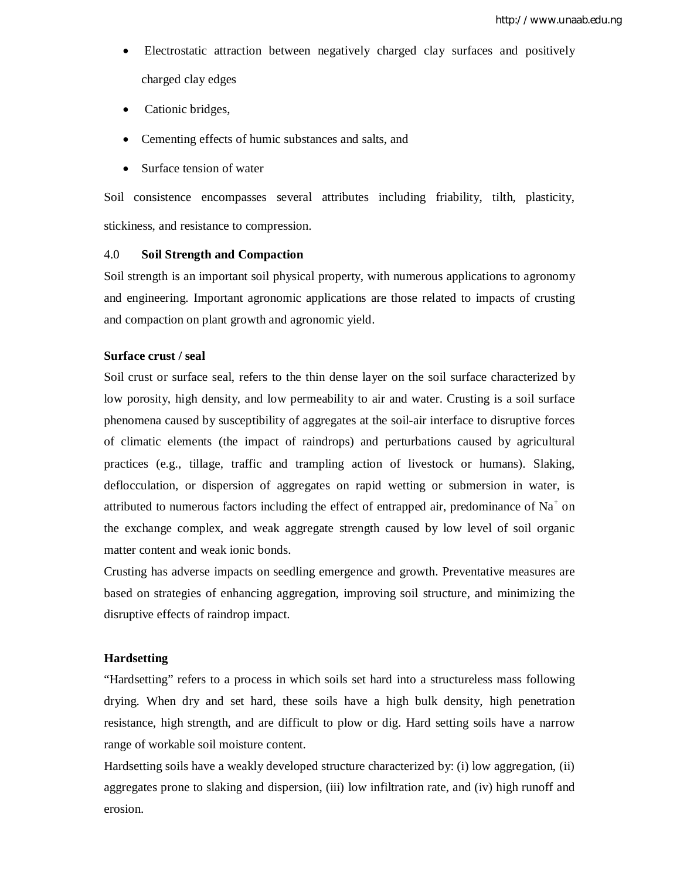- Electrostatic attraction between negatively charged clay surfaces and positively charged clay edges
- Cationic bridges,
- Cementing effects of humic substances and salts, and
- Surface tension of water

Soil consistence encompasses several attributes including friability, tilth, plasticity, stickiness, and resistance to compression.

#### 4.0 **Soil Strength and Compaction**

Soil strength is an important soil physical property, with numerous applications to agronomy and engineering. Important agronomic applications are those related to impacts of crusting and compaction on plant growth and agronomic yield.

### **Surface crust / seal**

Soil crust or surface seal, refers to the thin dense layer on the soil surface characterized by low porosity, high density, and low permeability to air and water. Crusting is a soil surface phenomena caused by susceptibility of aggregates at the soil-air interface to disruptive forces of climatic elements (the impact of raindrops) and perturbations caused by agricultural practices (e.g., tillage, traffic and trampling action of livestock or humans). Slaking, deflocculation, or dispersion of aggregates on rapid wetting or submersion in water, is attributed to numerous factors including the effect of entrapped air, predominance of Na<sup>+</sup> on the exchange complex, and weak aggregate strength caused by low level of soil organic matter content and weak ionic bonds.

Crusting has adverse impacts on seedling emergence and growth. Preventative measures are based on strategies of enhancing aggregation, improving soil structure, and minimizing the disruptive effects of raindrop impact.

#### **Hardsetting**

"Hardsetting" refers to a process in which soils set hard into a structureless mass following drying. When dry and set hard, these soils have a high bulk density, high penetration resistance, high strength, and are difficult to plow or dig. Hard setting soils have a narrow range of workable soil moisture content.

Hardsetting soils have a weakly developed structure characterized by: (i) low aggregation, (ii) aggregates prone to slaking and dispersion, (iii) low infiltration rate, and (iv) high runoff and erosion.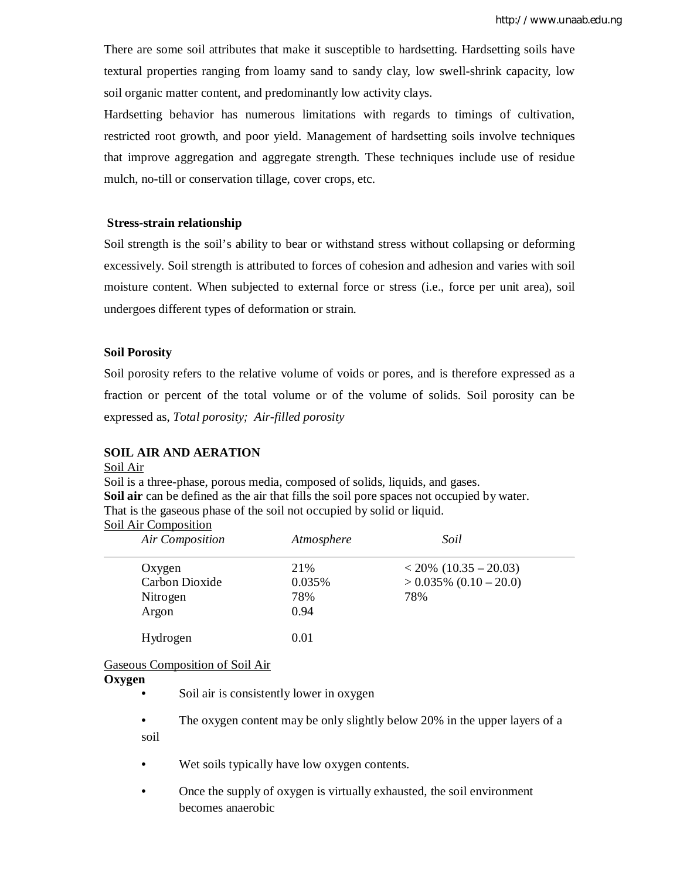There are some soil attributes that make it susceptible to hardsetting. Hardsetting soils have textural properties ranging from loamy sand to sandy clay, low swell-shrink capacity, low soil organic matter content, and predominantly low activity clays.

Hardsetting behavior has numerous limitations with regards to timings of cultivation, restricted root growth, and poor yield. Management of hardsetting soils involve techniques that improve aggregation and aggregate strength. These techniques include use of residue mulch, no-till or conservation tillage, cover crops, etc.

## **Stress-strain relationship**

Soil strength is the soil's ability to bear or withstand stress without collapsing or deforming excessively. Soil strength is attributed to forces of cohesion and adhesion and varies with soil moisture content. When subjected to external force or stress (i.e., force per unit area), soil undergoes different types of deformation or strain.

### **Soil Porosity**

Soil porosity refers to the relative volume of voids or pores, and is therefore expressed as a fraction or percent of the total volume or of the volume of solids. Soil porosity can be expressed as, *Total porosity; Air-filled porosity* 

# **SOIL AIR AND AERATION**

#### Soil Air

Soil is a three-phase, porous media, composed of solids, liquids, and gases. **Soil air** can be defined as the air that fills the soil pore spaces not occupied by water. That is the gaseous phase of the soil not occupied by solid or liquid. Soil Air Composition

| Air Composition          | Atmosphere     | Soil                                                  |  |
|--------------------------|----------------|-------------------------------------------------------|--|
| Oxygen<br>Carbon Dioxide | 21\%<br>0.035% | $< 20\%$ (10.35 - 20.03)<br>$> 0.035\%$ (0.10 - 20.0) |  |
| Nitrogen                 | 78%            | 78%                                                   |  |
| Argon                    | 0.94           |                                                       |  |
| Hydrogen                 | 0.01           |                                                       |  |

## Gaseous Composition of Soil Air

#### **Oxygen**

- Soil air is consistently lower in oxygen
- The oxygen content may be only slightly below 20% in the upper layers of a soil
- Wet soils typically have low oxygen contents.
- Once the supply of oxygen is virtually exhausted, the soil environment becomes anaerobic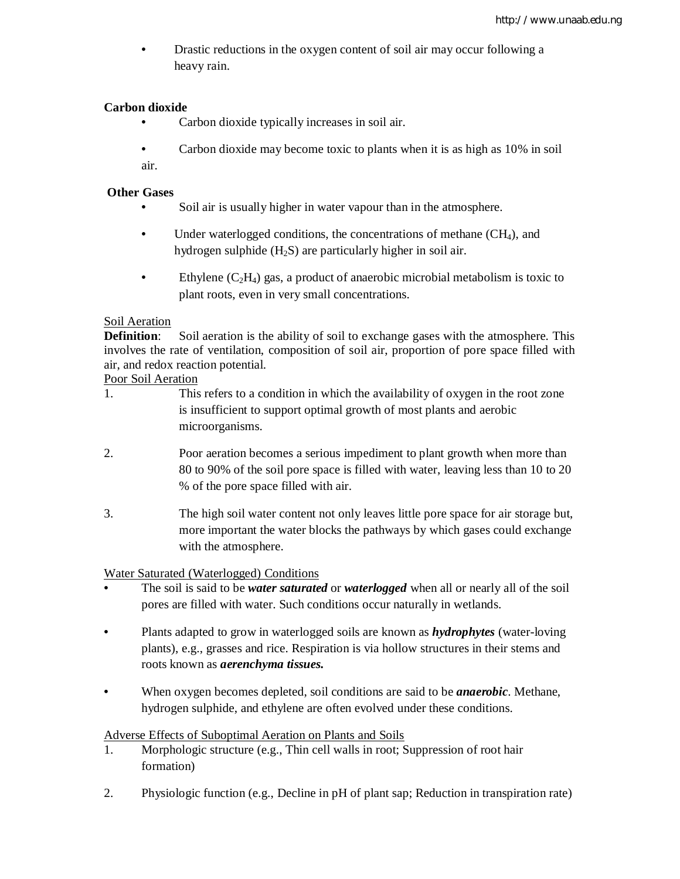• Drastic reductions in the oxygen content of soil air may occur following a heavy rain.

## **Carbon dioxide**

- Carbon dioxide typically increases in soil air.
- Carbon dioxide may become toxic to plants when it is as high as 10% in soil air.

## **Other Gases**

- Soil air is usually higher in water vapour than in the atmosphere.
- Under waterlogged conditions, the concentrations of methane (CH<sub>4</sub>), and hydrogen sulphide  $(H_2S)$  are particularly higher in soil air.
- Ethylene  $(C_2H_4)$  gas, a product of anaerobic microbial metabolism is toxic to plant roots, even in very small concentrations.

# Soil Aeration

**Definition:** Soil aeration is the ability of soil to exchange gases with the atmosphere. This involves the rate of ventilation, composition of soil air, proportion of pore space filled with air, and redox reaction potential.

Poor Soil Aeration

- 1. This refers to a condition in which the availability of oxygen in the root zone is insufficient to support optimal growth of most plants and aerobic microorganisms.
- 2. Poor aeration becomes a serious impediment to plant growth when more than 80 to 90% of the soil pore space is filled with water, leaving less than 10 to 20 % of the pore space filled with air.
- 3. The high soil water content not only leaves little pore space for air storage but, more important the water blocks the pathways by which gases could exchange with the atmosphere.

Water Saturated (Waterlogged) Conditions

- The soil is said to be *water saturated* or *waterlogged* when all or nearly all of the soil pores are filled with water. Such conditions occur naturally in wetlands.
- Plants adapted to grow in waterlogged soils are known as *hydrophytes* (water-loving plants), e.g., grasses and rice. Respiration is via hollow structures in their stems and roots known as *aerenchyma tissues.*
- When oxygen becomes depleted, soil conditions are said to be *anaerobic*. Methane, hydrogen sulphide, and ethylene are often evolved under these conditions.

# Adverse Effects of Suboptimal Aeration on Plants and Soils

- 1. Morphologic structure (e.g., Thin cell walls in root; Suppression of root hair formation)
- 2. Physiologic function (e.g., Decline in pH of plant sap; Reduction in transpiration rate)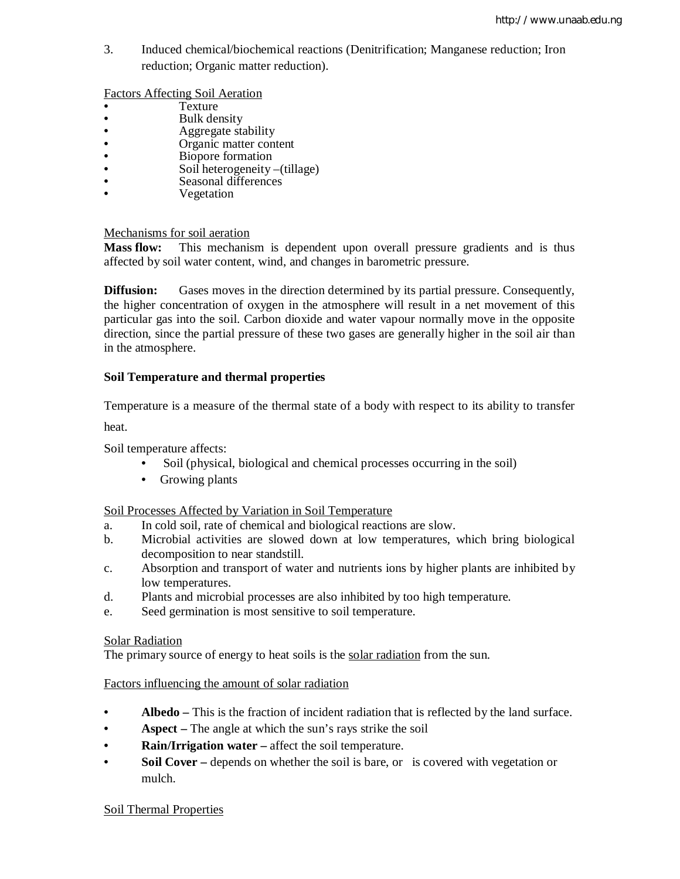3. Induced chemical/biochemical reactions (Denitrification; Manganese reduction; Iron reduction; Organic matter reduction).

## Factors Affecting Soil Aeration

- Texture
- Bulk density<br>• Aggregate sta
- **Aggregate stability**<br>• **Organic matter cont**
- Organic matter content<br>• Biopore formation
- Biopore formation
- Soil heterogeneity –(tillage)<br>• Seasonal differences
- Seasonal differences
- **Vegetation**

# Mechanisms for soil aeration

**Mass flow:** This mechanism is dependent upon overall pressure gradients and is thus affected by soil water content, wind, and changes in barometric pressure.

**Diffusion:** Gases moves in the direction determined by its partial pressure. Consequently, the higher concentration of oxygen in the atmosphere will result in a net movement of this particular gas into the soil. Carbon dioxide and water vapour normally move in the opposite direction, since the partial pressure of these two gases are generally higher in the soil air than in the atmosphere.

# **Soil Temperature and thermal properties**

Temperature is a measure of the thermal state of a body with respect to its ability to transfer

heat.

Soil temperature affects:

- Soil (physical, biological and chemical processes occurring in the soil)
- Growing plants

Soil Processes Affected by Variation in Soil Temperature

- a. In cold soil, rate of chemical and biological reactions are slow.
- b. Microbial activities are slowed down at low temperatures, which bring biological decomposition to near standstill.
- c. Absorption and transport of water and nutrients ions by higher plants are inhibited by low temperatures.
- d. Plants and microbial processes are also inhibited by too high temperature.
- e. Seed germination is most sensitive to soil temperature.

# Solar Radiation

The primary source of energy to heat soils is the solar radiation from the sun.

# Factors influencing the amount of solar radiation

- **Albedo** This is the fraction of incident radiation that is reflected by the land surface.
- **Aspect** The angle at which the sun's rays strike the soil
- **Rain/Irrigation water –** affect the soil temperature.
- **Soil Cover** depends on whether the soil is bare, or is covered with vegetation or mulch.

# Soil Thermal Properties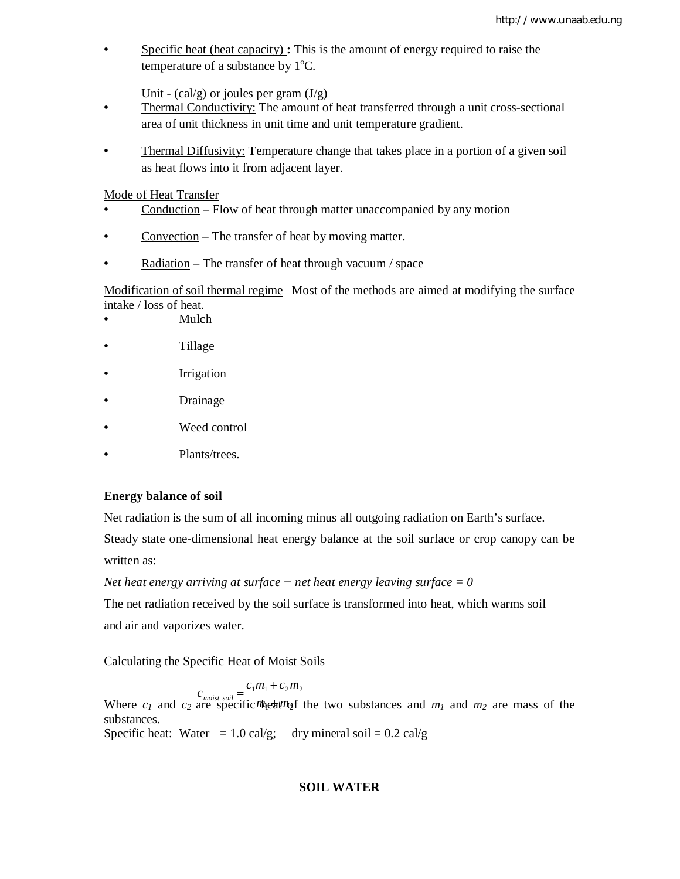- Specific heat (heat capacity) **:** This is the amount of energy required to raise the temperature of a substance by  $1^{\circ}C$ .
	- Unit  $\text{(cal/g)}$  or joules per gram  $\text{(J/g)}$
- Thermal Conductivity: The amount of heat transferred through a unit cross-sectional area of unit thickness in unit time and unit temperature gradient.
- Thermal Diffusivity: Temperature change that takes place in a portion of a given soil as heat flows into it from adjacent layer.

Mode of Heat Transfer

- Conduction Flow of heat through matter unaccompanied by any motion
- Convection The transfer of heat by moving matter.
- Radiation The transfer of heat through vacuum / space

Modification of soil thermal regime Most of the methods are aimed at modifying the surface intake / loss of heat.

- Mulch
- Tillage
- Irrigation
- Drainage
- Weed control
- Plants/trees.

# **Energy balance of soil**

Net radiation is the sum of all incoming minus all outgoing radiation on Earth's surface. Steady state one-dimensional heat energy balance at the soil surface or crop canopy can be written as:

```
Net heat energy arriving at surface − net heat energy leaving surface = 0
```
The net radiation received by the soil surface is transformed into heat, which warms soil and air and vaporizes water.

# Calculating the Specific Heat of Moist Soils

Where  $c_1$  and  $c_2$  are specific *m*eat  $n_2$  f the two substances and  $m_1$  and  $m_2$  are mass of the substances. Specific heat: Water =  $1.0 \text{ cal/g}$ ; dry mineral soil =  $0.2 \text{ cal/g}$  $1^{\prime \prime \prime}$   $1^{\prime \prime}$   $2^{\prime \prime \prime}$   $2^{\prime \prime}$ *m m*  $c_{\text{moist soil}} = \frac{c_1 m_1 + c_2 m}{c_1 c_2 m}$ <br>are specific *m*eating f  $=\frac{c_1m_1+}{m_1+m_2}$ 

# **SOIL WATER**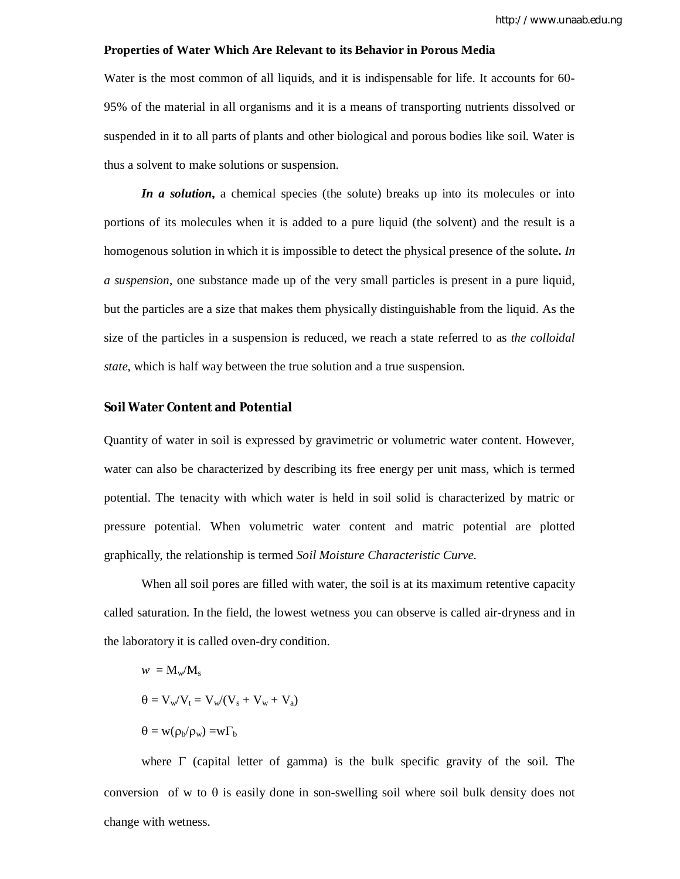#### **Properties of Water Which Are Relevant to its Behavior in Porous Media**

Water is the most common of all liquids, and it is indispensable for life. It accounts for 60- 95% of the material in all organisms and it is a means of transporting nutrients dissolved or suspended in it to all parts of plants and other biological and porous bodies like soil. Water is thus a solvent to make solutions or suspension.

*In a solution*, a chemical species (the solute) breaks up into its molecules or into portions of its molecules when it is added to a pure liquid (the solvent) and the result is a homogenous solution in which it is impossible to detect the physical presence of the solute**.** *In a suspension*, one substance made up of the very small particles is present in a pure liquid, but the particles are a size that makes them physically distinguishable from the liquid. As the size of the particles in a suspension is reduced, we reach a state referred to as *the colloidal state*, which is half way between the true solution and a true suspension.

### **Soil Water Content and Potential**

Quantity of water in soil is expressed by gravimetric or volumetric water content. However, water can also be characterized by describing its free energy per unit mass, which is termed potential. The tenacity with which water is held in soil solid is characterized by matric or pressure potential. When volumetric water content and matric potential are plotted graphically, the relationship is termed *Soil Moisture Characteristic Curve*.

When all soil pores are filled with water, the soil is at its maximum retentive capacity called saturation. In the field, the lowest wetness you can observe is called air-dryness and in the laboratory it is called oven-dry condition.

$$
\begin{aligned} w &= M_w / M_s \\ \theta &= V_w / V_t = V_w / (V_s + V_w + V_a) \\ \theta &= w(\rho_b / \rho_w) = w \Gamma_b \end{aligned}
$$

where  $\Gamma$  (capital letter of gamma) is the bulk specific gravity of the soil. The conversion of w to  $\theta$  is easily done in son-swelling soil where soil bulk density does not change with wetness.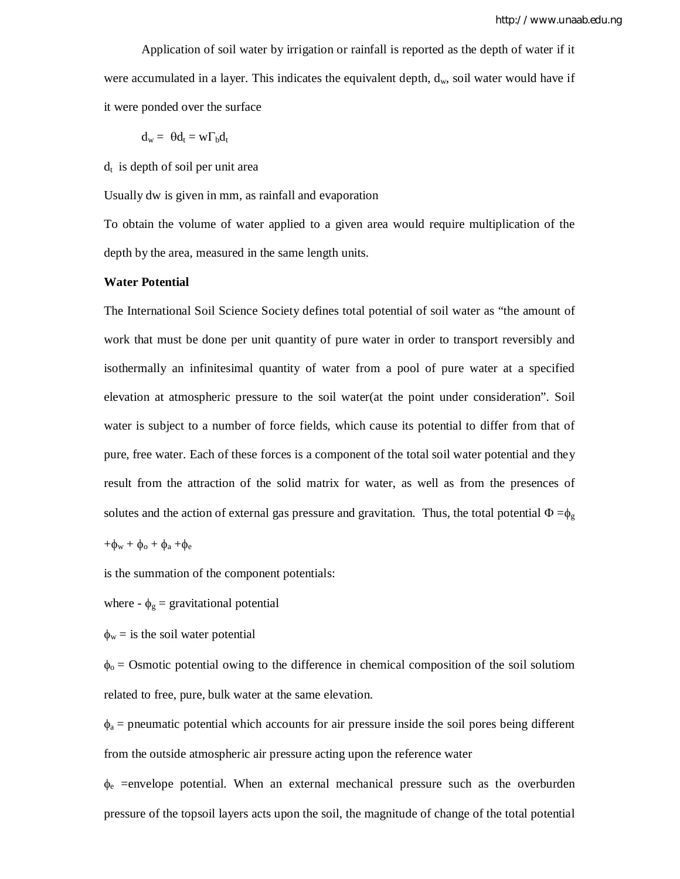Application of soil water by irrigation or rainfall is reported as the depth of water if it were accumulated in a layer. This indicates the equivalent depth,  $d_w$ , soil water would have if it were ponded over the surface

$$
d_w = \theta d_t = w \Gamma_b d_t
$$

 $d_t$  is depth of soil per unit area

Usually dw is given in mm, as rainfall and evaporation

To obtain the volume of water applied to a given area would require multiplication of the depth by the area, measured in the same length units.

#### **Water Potential**

The International Soil Science Society defines total potential of soil water as "the amount of work that must be done per unit quantity of pure water in order to transport reversibly and isothermally an infinitesimal quantity of water from a pool of pure water at a specified elevation at atmospheric pressure to the soil water(at the point under consideration". Soil water is subject to a number of force fields, which cause its potential to differ from that of pure, free water. Each of these forces is a component of the total soil water potential and they result from the attraction of the solid matrix for water, as well as from the presences of solutes and the action of external gas pressure and gravitation. Thus, the total potential  $\Phi = \phi_s$ 

$$
+\varphi_w+\varphi_o+\varphi_a+\varphi_e
$$

is the summation of the component potentials:

where -  $\phi_{g}$  = gravitational potential

 $\phi_w$  = is the soil water potential

 $\phi$ <sup>o</sup> = Osmotic potential owing to the difference in chemical composition of the soil solutiom related to free, pure, bulk water at the same elevation.

 $\phi_a$  = pneumatic potential which accounts for air pressure inside the soil pores being different from the outside atmospheric air pressure acting upon the reference water

 $\phi_e$  =envelope potential. When an external mechanical pressure such as the overburden pressure of the topsoil layers acts upon the soil, the magnitude of change of the total potential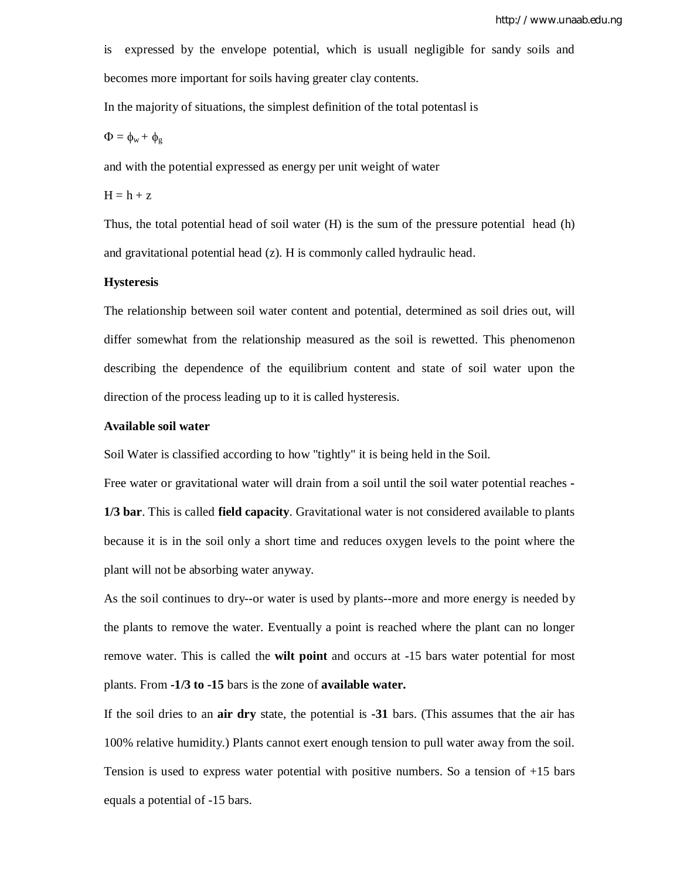is expressed by the envelope potential, which is usuall negligible for sandy soils and becomes more important for soils having greater clay contents.

In the majority of situations, the simplest definition of the total potentasl is

 $\Phi = \varphi_w + \varphi_g$ 

and with the potential expressed as energy per unit weight of water

 $H = h + z$ 

Thus, the total potential head of soil water (H) is the sum of the pressure potential head (h) and gravitational potential head (z). H is commonly called hydraulic head.

#### **Hysteresis**

The relationship between soil water content and potential, determined as soil dries out, will differ somewhat from the relationship measured as the soil is rewetted. This phenomenon describing the dependence of the equilibrium content and state of soil water upon the direction of the process leading up to it is called hysteresis.

### **Available soil water**

Soil Water is classified according to how "tightly" it is being held in the Soil.

Free water or gravitational water will drain from a soil until the soil water potential reaches **- 1/3 bar**. This is called **field capacity**. Gravitational water is not considered available to plants because it is in the soil only a short time and reduces oxygen levels to the point where the plant will not be absorbing water anyway.

As the soil continues to dry--or water is used by plants--more and more energy is needed by the plants to remove the water. Eventually a point is reached where the plant can no longer remove water. This is called the **wilt point** and occurs at -15 bars water potential for most plants. From **-1/3 to -15** bars is the zone of **available water.**

If the soil dries to an **air dry** state, the potential is **-31** bars. (This assumes that the air has 100% relative humidity.) Plants cannot exert enough tension to pull water away from the soil. Tension is used to express water potential with positive numbers. So a tension of +15 bars equals a potential of -15 bars.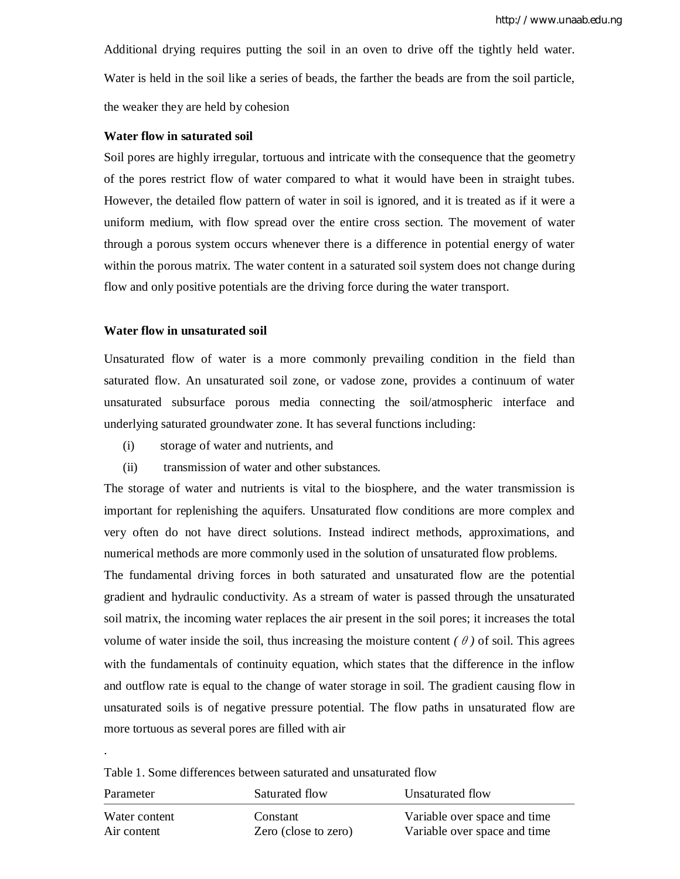Additional drying requires putting the soil in an oven to drive off the tightly held water. Water is held in the soil like a series of beads, the farther the beads are from the soil particle, the weaker they are held by cohesion

#### **Water flow in saturated soil**

Soil pores are highly irregular, tortuous and intricate with the consequence that the geometry of the pores restrict flow of water compared to what it would have been in straight tubes. However, the detailed flow pattern of water in soil is ignored, and it is treated as if it were a uniform medium, with flow spread over the entire cross section. The movement of water through a porous system occurs whenever there is a difference in potential energy of water within the porous matrix. The water content in a saturated soil system does not change during flow and only positive potentials are the driving force during the water transport.

#### **Water flow in unsaturated soil**

.

Unsaturated flow of water is a more commonly prevailing condition in the field than saturated flow. An unsaturated soil zone, or vadose zone, provides a continuum of water unsaturated subsurface porous media connecting the soil/atmospheric interface and underlying saturated groundwater zone. It has several functions including:

- (i) storage of water and nutrients, and
- (ii) transmission of water and other substances.

The storage of water and nutrients is vital to the biosphere, and the water transmission is important for replenishing the aquifers. Unsaturated flow conditions are more complex and very often do not have direct solutions. Instead indirect methods, approximations, and numerical methods are more commonly used in the solution of unsaturated flow problems.

The fundamental driving forces in both saturated and unsaturated flow are the potential gradient and hydraulic conductivity. As a stream of water is passed through the unsaturated soil matrix, the incoming water replaces the air present in the soil pores; it increases the total volume of water inside the soil, thus increasing the moisture content  $(\theta)$  of soil. This agrees with the fundamentals of continuity equation, which states that the difference in the inflow and outflow rate is equal to the change of water storage in soil. The gradient causing flow in unsaturated soils is of negative pressure potential. The flow paths in unsaturated flow are more tortuous as several pores are filled with air

Table 1. Some differences between saturated and unsaturated flow

| Parameter     | Saturated flow       | Unsaturated flow             |
|---------------|----------------------|------------------------------|
| Water content | Constant             | Variable over space and time |
| Air content   | Zero (close to zero) | Variable over space and time |